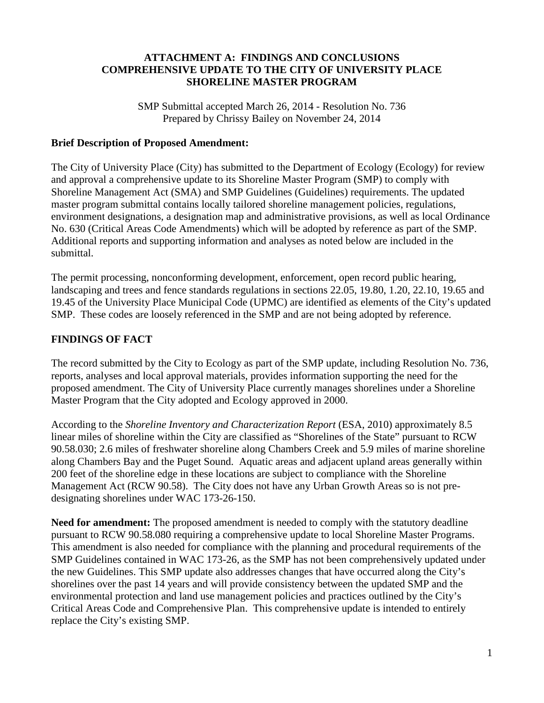#### **ATTACHMENT A: FINDINGS AND CONCLUSIONS COMPREHENSIVE UPDATE TO THE CITY OF UNIVERSITY PLACE SHORELINE MASTER PROGRAM**

SMP Submittal accepted March 26, 2014 - Resolution No. 736 Prepared by Chrissy Bailey on November 24, 2014

#### **Brief Description of Proposed Amendment:**

The City of University Place (City) has submitted to the Department of Ecology (Ecology) for review and approval a comprehensive update to its Shoreline Master Program (SMP) to comply with Shoreline Management Act (SMA) and SMP Guidelines (Guidelines) requirements. The updated master program submittal contains locally tailored shoreline management policies, regulations, environment designations, a designation map and administrative provisions, as well as local Ordinance No. 630 (Critical Areas Code Amendments) which will be adopted by reference as part of the SMP. Additional reports and supporting information and analyses as noted below are included in the submittal.

The permit processing, nonconforming development, enforcement, open record public hearing, landscaping and trees and fence standards regulations in sections 22.05, 19.80, 1.20, 22.10, 19.65 and 19.45 of the University Place Municipal Code (UPMC) are identified as elements of the City's updated SMP. These codes are loosely referenced in the SMP and are not being adopted by reference.

# **FINDINGS OF FACT**

The record submitted by the City to Ecology as part of the SMP update, including Resolution No. 736, reports, analyses and local approval materials, provides information supporting the need for the proposed amendment. The City of University Place currently manages shorelines under a Shoreline Master Program that the City adopted and Ecology approved in 2000.

According to the *Shoreline Inventory and Characterization Report* (ESA, 2010) approximately 8.5 linear miles of shoreline within the City are classified as "Shorelines of the State" pursuant to RCW 90.58.030; 2.6 miles of freshwater shoreline along Chambers Creek and 5.9 miles of marine shoreline along Chambers Bay and the Puget Sound. Aquatic areas and adjacent upland areas generally within 200 feet of the shoreline edge in these locations are subject to compliance with the Shoreline Management Act (RCW 90.58). The City does not have any Urban Growth Areas so is not predesignating shorelines under WAC 173-26-150.

**Need for amendment:** The proposed amendment is needed to comply with the statutory deadline pursuant to RCW 90.58.080 requiring a comprehensive update to local Shoreline Master Programs. This amendment is also needed for compliance with the planning and procedural requirements of the SMP Guidelines contained in WAC 173-26, as the SMP has not been comprehensively updated under the new Guidelines. This SMP update also addresses changes that have occurred along the City's shorelines over the past 14 years and will provide consistency between the updated SMP and the environmental protection and land use management policies and practices outlined by the City's Critical Areas Code and Comprehensive Plan. This comprehensive update is intended to entirely replace the City's existing SMP.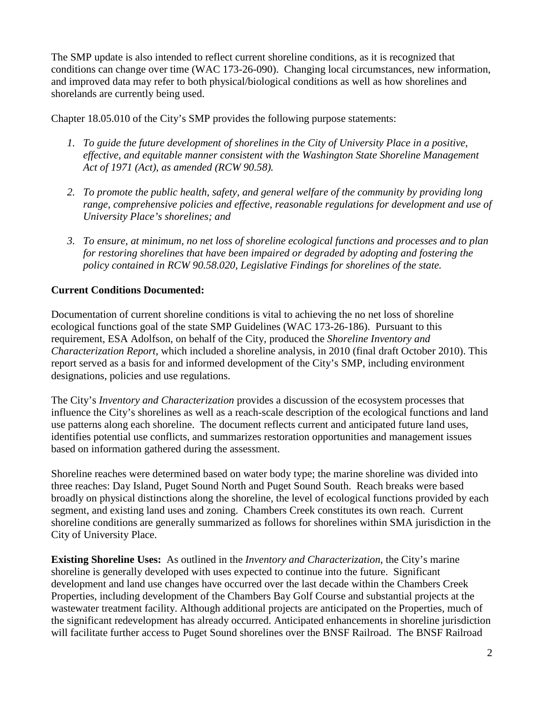The SMP update is also intended to reflect current shoreline conditions, as it is recognized that conditions can change over time (WAC 173-26-090). Changing local circumstances, new information, and improved data may refer to both physical/biological conditions as well as how shorelines and shorelands are currently being used.

Chapter 18.05.010 of the City's SMP provides the following purpose statements:

- *1. To guide the future development of shorelines in the City of University Place in a positive, effective, and equitable manner consistent with the Washington State Shoreline Management Act of 1971 (Act), as amended (RCW 90.58).*
- *2. To promote the public health, safety, and general welfare of the community by providing long range, comprehensive policies and effective, reasonable regulations for development and use of University Place's shorelines; and*
- *3. To ensure, at minimum, no net loss of shoreline ecological functions and processes and to plan for restoring shorelines that have been impaired or degraded by adopting and fostering the policy contained in RCW 90.58.020, Legislative Findings for shorelines of the state.*

# **Current Conditions Documented:**

Documentation of current shoreline conditions is vital to achieving the no net loss of shoreline ecological functions goal of the state SMP Guidelines (WAC 173-26-186). Pursuant to this requirement, ESA Adolfson, on behalf of the City, produced the *Shoreline Inventory and Characterization Report*, which included a shoreline analysis, in 2010 (final draft October 2010). This report served as a basis for and informed development of the City's SMP, including environment designations, policies and use regulations.

The City's *Inventory and Characterization* provides a discussion of the ecosystem processes that influence the City's shorelines as well as a reach-scale description of the ecological functions and land use patterns along each shoreline. The document reflects current and anticipated future land uses, identifies potential use conflicts, and summarizes restoration opportunities and management issues based on information gathered during the assessment.

Shoreline reaches were determined based on water body type; the marine shoreline was divided into three reaches: Day Island, Puget Sound North and Puget Sound South. Reach breaks were based broadly on physical distinctions along the shoreline, the level of ecological functions provided by each segment, and existing land uses and zoning. Chambers Creek constitutes its own reach. Current shoreline conditions are generally summarized as follows for shorelines within SMA jurisdiction in the City of University Place.

**Existing Shoreline Uses:** As outlined in the *Inventory and Characterization*, the City's marine shoreline is generally developed with uses expected to continue into the future. Significant development and land use changes have occurred over the last decade within the Chambers Creek Properties, including development of the Chambers Bay Golf Course and substantial projects at the wastewater treatment facility. Although additional projects are anticipated on the Properties, much of the significant redevelopment has already occurred. Anticipated enhancements in shoreline jurisdiction will facilitate further access to Puget Sound shorelines over the BNSF Railroad. The BNSF Railroad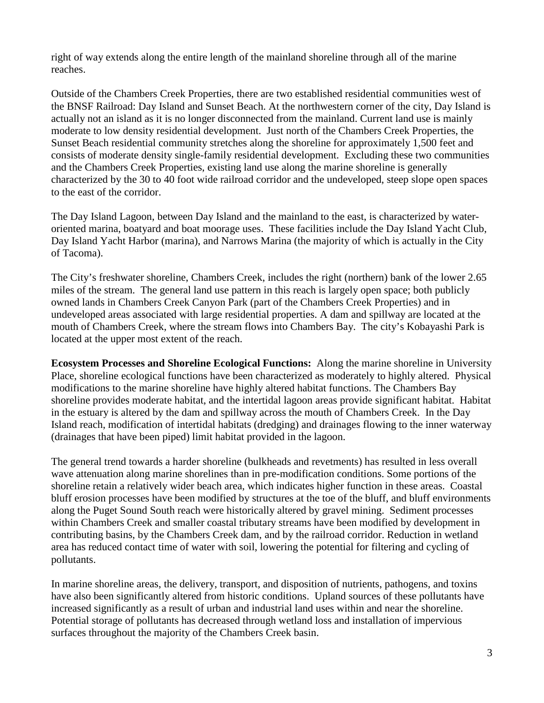right of way extends along the entire length of the mainland shoreline through all of the marine reaches.

Outside of the Chambers Creek Properties, there are two established residential communities west of the BNSF Railroad: Day Island and Sunset Beach. At the northwestern corner of the city, Day Island is actually not an island as it is no longer disconnected from the mainland. Current land use is mainly moderate to low density residential development. Just north of the Chambers Creek Properties, the Sunset Beach residential community stretches along the shoreline for approximately 1,500 feet and consists of moderate density single-family residential development. Excluding these two communities and the Chambers Creek Properties, existing land use along the marine shoreline is generally characterized by the 30 to 40 foot wide railroad corridor and the undeveloped, steep slope open spaces to the east of the corridor.

The Day Island Lagoon, between Day Island and the mainland to the east, is characterized by wateroriented marina, boatyard and boat moorage uses. These facilities include the Day Island Yacht Club, Day Island Yacht Harbor (marina), and Narrows Marina (the majority of which is actually in the City of Tacoma).

The City's freshwater shoreline, Chambers Creek, includes the right (northern) bank of the lower 2.65 miles of the stream. The general land use pattern in this reach is largely open space; both publicly owned lands in Chambers Creek Canyon Park (part of the Chambers Creek Properties) and in undeveloped areas associated with large residential properties. A dam and spillway are located at the mouth of Chambers Creek, where the stream flows into Chambers Bay. The city's Kobayashi Park is located at the upper most extent of the reach.

**Ecosystem Processes and Shoreline Ecological Functions:** Along the marine shoreline in University Place, shoreline ecological functions have been characterized as moderately to highly altered. Physical modifications to the marine shoreline have highly altered habitat functions. The Chambers Bay shoreline provides moderate habitat, and the intertidal lagoon areas provide significant habitat. Habitat in the estuary is altered by the dam and spillway across the mouth of Chambers Creek. In the Day Island reach, modification of intertidal habitats (dredging) and drainages flowing to the inner waterway (drainages that have been piped) limit habitat provided in the lagoon.

The general trend towards a harder shoreline (bulkheads and revetments) has resulted in less overall wave attenuation along marine shorelines than in pre-modification conditions. Some portions of the shoreline retain a relatively wider beach area, which indicates higher function in these areas. Coastal bluff erosion processes have been modified by structures at the toe of the bluff, and bluff environments along the Puget Sound South reach were historically altered by gravel mining. Sediment processes within Chambers Creek and smaller coastal tributary streams have been modified by development in contributing basins, by the Chambers Creek dam, and by the railroad corridor. Reduction in wetland area has reduced contact time of water with soil, lowering the potential for filtering and cycling of pollutants.

In marine shoreline areas, the delivery, transport, and disposition of nutrients, pathogens, and toxins have also been significantly altered from historic conditions. Upland sources of these pollutants have increased significantly as a result of urban and industrial land uses within and near the shoreline. Potential storage of pollutants has decreased through wetland loss and installation of impervious surfaces throughout the majority of the Chambers Creek basin.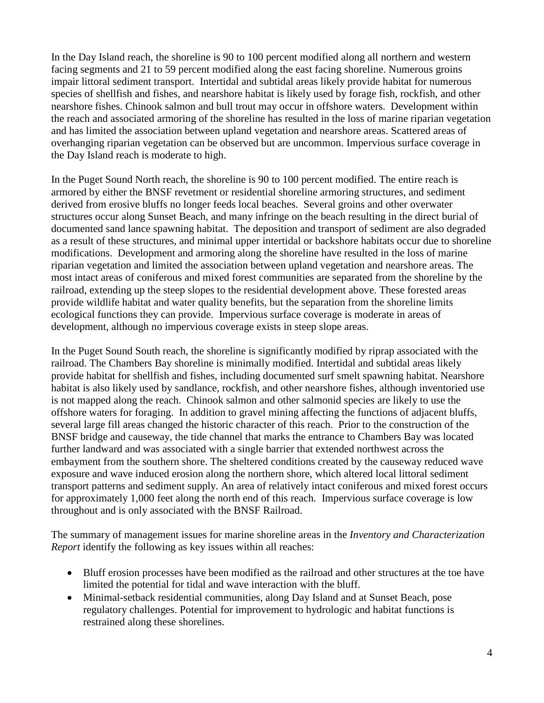In the Day Island reach, the shoreline is 90 to 100 percent modified along all northern and western facing segments and 21 to 59 percent modified along the east facing shoreline. Numerous groins impair littoral sediment transport. Intertidal and subtidal areas likely provide habitat for numerous species of shellfish and fishes, and nearshore habitat is likely used by forage fish, rockfish, and other nearshore fishes. Chinook salmon and bull trout may occur in offshore waters. Development within the reach and associated armoring of the shoreline has resulted in the loss of marine riparian vegetation and has limited the association between upland vegetation and nearshore areas. Scattered areas of overhanging riparian vegetation can be observed but are uncommon. Impervious surface coverage in the Day Island reach is moderate to high.

In the Puget Sound North reach, the shoreline is 90 to 100 percent modified. The entire reach is armored by either the BNSF revetment or residential shoreline armoring structures, and sediment derived from erosive bluffs no longer feeds local beaches. Several groins and other overwater structures occur along Sunset Beach, and many infringe on the beach resulting in the direct burial of documented sand lance spawning habitat. The deposition and transport of sediment are also degraded as a result of these structures, and minimal upper intertidal or backshore habitats occur due to shoreline modifications. Development and armoring along the shoreline have resulted in the loss of marine riparian vegetation and limited the association between upland vegetation and nearshore areas. The most intact areas of coniferous and mixed forest communities are separated from the shoreline by the railroad, extending up the steep slopes to the residential development above. These forested areas provide wildlife habitat and water quality benefits, but the separation from the shoreline limits ecological functions they can provide. Impervious surface coverage is moderate in areas of development, although no impervious coverage exists in steep slope areas.

In the Puget Sound South reach, the shoreline is significantly modified by riprap associated with the railroad. The Chambers Bay shoreline is minimally modified. Intertidal and subtidal areas likely provide habitat for shellfish and fishes, including documented surf smelt spawning habitat. Nearshore habitat is also likely used by sandlance, rockfish, and other nearshore fishes, although inventoried use is not mapped along the reach. Chinook salmon and other salmonid species are likely to use the offshore waters for foraging. In addition to gravel mining affecting the functions of adjacent bluffs, several large fill areas changed the historic character of this reach. Prior to the construction of the BNSF bridge and causeway, the tide channel that marks the entrance to Chambers Bay was located further landward and was associated with a single barrier that extended northwest across the embayment from the southern shore. The sheltered conditions created by the causeway reduced wave exposure and wave induced erosion along the northern shore, which altered local littoral sediment transport patterns and sediment supply. An area of relatively intact coniferous and mixed forest occurs for approximately 1,000 feet along the north end of this reach. Impervious surface coverage is low throughout and is only associated with the BNSF Railroad.

The summary of management issues for marine shoreline areas in the *Inventory and Characterization Report* identify the following as key issues within all reaches:

- Bluff erosion processes have been modified as the railroad and other structures at the toe have limited the potential for tidal and wave interaction with the bluff.
- Minimal-setback residential communities, along Day Island and at Sunset Beach, pose regulatory challenges. Potential for improvement to hydrologic and habitat functions is restrained along these shorelines.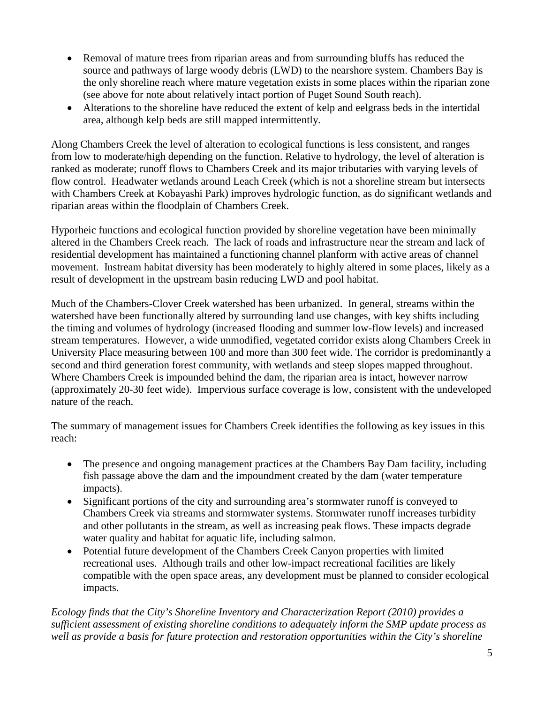- Removal of mature trees from riparian areas and from surrounding bluffs has reduced the source and pathways of large woody debris (LWD) to the nearshore system. Chambers Bay is the only shoreline reach where mature vegetation exists in some places within the riparian zone (see above for note about relatively intact portion of Puget Sound South reach).
- Alterations to the shoreline have reduced the extent of kelp and eelgrass beds in the intertidal area, although kelp beds are still mapped intermittently.

Along Chambers Creek the level of alteration to ecological functions is less consistent, and ranges from low to moderate/high depending on the function. Relative to hydrology, the level of alteration is ranked as moderate; runoff flows to Chambers Creek and its major tributaries with varying levels of flow control. Headwater wetlands around Leach Creek (which is not a shoreline stream but intersects with Chambers Creek at Kobayashi Park) improves hydrologic function, as do significant wetlands and riparian areas within the floodplain of Chambers Creek.

Hyporheic functions and ecological function provided by shoreline vegetation have been minimally altered in the Chambers Creek reach. The lack of roads and infrastructure near the stream and lack of residential development has maintained a functioning channel planform with active areas of channel movement. Instream habitat diversity has been moderately to highly altered in some places, likely as a result of development in the upstream basin reducing LWD and pool habitat.

Much of the Chambers-Clover Creek watershed has been urbanized. In general, streams within the watershed have been functionally altered by surrounding land use changes, with key shifts including the timing and volumes of hydrology (increased flooding and summer low-flow levels) and increased stream temperatures. However, a wide unmodified, vegetated corridor exists along Chambers Creek in University Place measuring between 100 and more than 300 feet wide. The corridor is predominantly a second and third generation forest community, with wetlands and steep slopes mapped throughout. Where Chambers Creek is impounded behind the dam, the riparian area is intact, however narrow (approximately 20-30 feet wide). Impervious surface coverage is low, consistent with the undeveloped nature of the reach.

The summary of management issues for Chambers Creek identifies the following as key issues in this reach:

- The presence and ongoing management practices at the Chambers Bay Dam facility, including fish passage above the dam and the impoundment created by the dam (water temperature impacts).
- Significant portions of the city and surrounding area's stormwater runoff is conveyed to Chambers Creek via streams and stormwater systems. Stormwater runoff increases turbidity and other pollutants in the stream, as well as increasing peak flows. These impacts degrade water quality and habitat for aquatic life, including salmon.
- Potential future development of the Chambers Creek Canyon properties with limited recreational uses. Although trails and other low-impact recreational facilities are likely compatible with the open space areas, any development must be planned to consider ecological impacts.

*Ecology finds that the City's Shoreline Inventory and Characterization Report (2010) provides a sufficient assessment of existing shoreline conditions to adequately inform the SMP update process as well as provide a basis for future protection and restoration opportunities within the City's shoreline*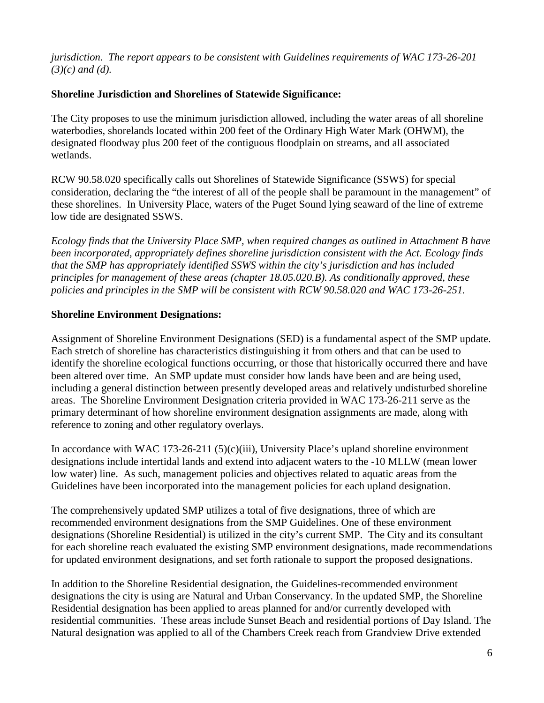*jurisdiction. The report appears to be consistent with Guidelines requirements of WAC 173-26-201 (3)(c) and (d).*

### **Shoreline Jurisdiction and Shorelines of Statewide Significance:**

The City proposes to use the minimum jurisdiction allowed, including the water areas of all shoreline waterbodies, shorelands located within 200 feet of the Ordinary High Water Mark (OHWM), the designated floodway plus 200 feet of the contiguous floodplain on streams, and all associated wetlands.

RCW 90.58.020 specifically calls out Shorelines of Statewide Significance (SSWS) for special consideration, declaring the "the interest of all of the people shall be paramount in the management" of these shorelines. In University Place, waters of the Puget Sound lying seaward of the line of extreme low tide are designated SSWS.

*Ecology finds that the University Place SMP, when required changes as outlined in Attachment B have been incorporated, appropriately defines shoreline jurisdiction consistent with the Act. Ecology finds that the SMP has appropriately identified SSWS within the city's jurisdiction and has included principles for management of these areas (chapter 18.05.020.B). As conditionally approved, these policies and principles in the SMP will be consistent with RCW 90.58.020 and WAC 173-26-251.*

# **Shoreline Environment Designations:**

Assignment of Shoreline Environment Designations (SED) is a fundamental aspect of the SMP update. Each stretch of shoreline has characteristics distinguishing it from others and that can be used to identify the shoreline ecological functions occurring, or those that historically occurred there and have been altered over time. An SMP update must consider how lands have been and are being used, including a general distinction between presently developed areas and relatively undisturbed shoreline areas. The Shoreline Environment Designation criteria provided in WAC 173-26-211 serve as the primary determinant of how shoreline environment designation assignments are made, along with reference to zoning and other regulatory overlays.

In accordance with WAC 173-26-211 (5)(c)(iii), University Place's upland shoreline environment designations include intertidal lands and extend into adjacent waters to the -10 MLLW (mean lower low water) line. As such, management policies and objectives related to aquatic areas from the Guidelines have been incorporated into the management policies for each upland designation.

The comprehensively updated SMP utilizes a total of five designations, three of which are recommended environment designations from the SMP Guidelines. One of these environment designations (Shoreline Residential) is utilized in the city's current SMP. The City and its consultant for each shoreline reach evaluated the existing SMP environment designations, made recommendations for updated environment designations, and set forth rationale to support the proposed designations.

In addition to the Shoreline Residential designation, the Guidelines-recommended environment designations the city is using are Natural and Urban Conservancy. In the updated SMP, the Shoreline Residential designation has been applied to areas planned for and/or currently developed with residential communities. These areas include Sunset Beach and residential portions of Day Island. The Natural designation was applied to all of the Chambers Creek reach from Grandview Drive extended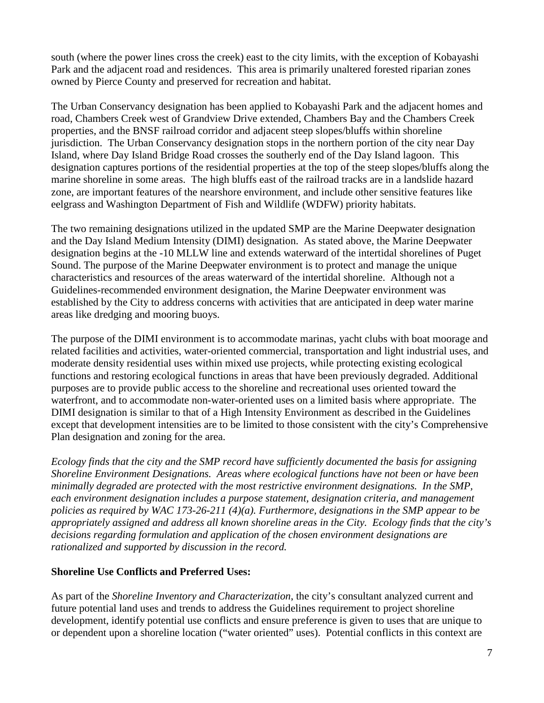south (where the power lines cross the creek) east to the city limits, with the exception of Kobayashi Park and the adjacent road and residences. This area is primarily unaltered forested riparian zones owned by Pierce County and preserved for recreation and habitat.

The Urban Conservancy designation has been applied to Kobayashi Park and the adjacent homes and road, Chambers Creek west of Grandview Drive extended, Chambers Bay and the Chambers Creek properties, and the BNSF railroad corridor and adjacent steep slopes/bluffs within shoreline jurisdiction. The Urban Conservancy designation stops in the northern portion of the city near Day Island, where Day Island Bridge Road crosses the southerly end of the Day Island lagoon. This designation captures portions of the residential properties at the top of the steep slopes/bluffs along the marine shoreline in some areas. The high bluffs east of the railroad tracks are in a landslide hazard zone, are important features of the nearshore environment, and include other sensitive features like eelgrass and Washington Department of Fish and Wildlife (WDFW) priority habitats.

The two remaining designations utilized in the updated SMP are the Marine Deepwater designation and the Day Island Medium Intensity (DIMI) designation. As stated above, the Marine Deepwater designation begins at the -10 MLLW line and extends waterward of the intertidal shorelines of Puget Sound. The purpose of the Marine Deepwater environment is to protect and manage the unique characteristics and resources of the areas waterward of the intertidal shoreline. Although not a Guidelines-recommended environment designation, the Marine Deepwater environment was established by the City to address concerns with activities that are anticipated in deep water marine areas like dredging and mooring buoys.

The purpose of the DIMI environment is to accommodate marinas, yacht clubs with boat moorage and related facilities and activities, water-oriented commercial, transportation and light industrial uses, and moderate density residential uses within mixed use projects, while protecting existing ecological functions and restoring ecological functions in areas that have been previously degraded. Additional purposes are to provide public access to the shoreline and recreational uses oriented toward the waterfront, and to accommodate non-water-oriented uses on a limited basis where appropriate. The DIMI designation is similar to that of a High Intensity Environment as described in the Guidelines except that development intensities are to be limited to those consistent with the city's Comprehensive Plan designation and zoning for the area.

*Ecology finds that the city and the SMP record have sufficiently documented the basis for assigning Shoreline Environment Designations. Areas where ecological functions have not been or have been minimally degraded are protected with the most restrictive environment designations. In the SMP, each environment designation includes a purpose statement, designation criteria, and management policies as required by WAC 173-26-211 (4)(a). Furthermore, designations in the SMP appear to be appropriately assigned and address all known shoreline areas in the City. Ecology finds that the city's decisions regarding formulation and application of the chosen environment designations are rationalized and supported by discussion in the record.*

# **Shoreline Use Conflicts and Preferred Uses:**

As part of the *Shoreline Inventory and Characterization*, the city's consultant analyzed current and future potential land uses and trends to address the Guidelines requirement to project shoreline development, identify potential use conflicts and ensure preference is given to uses that are unique to or dependent upon a shoreline location ("water oriented" uses). Potential conflicts in this context are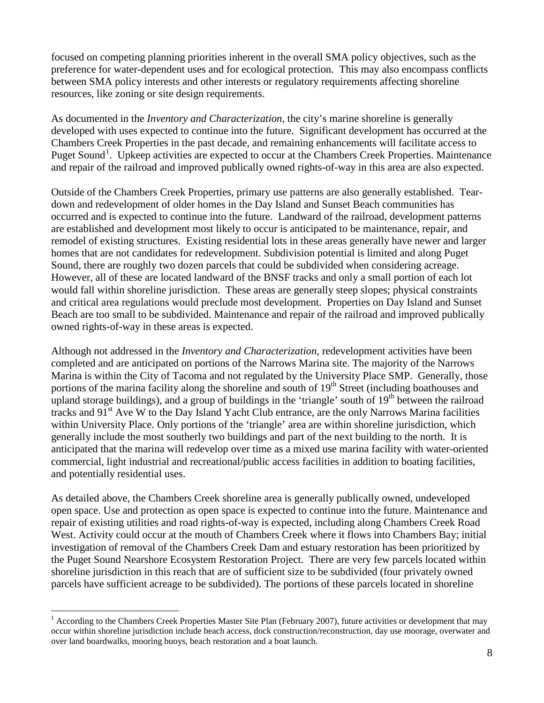focused on competing planning priorities inherent in the overall SMA policy objectives, such as the preference for water-dependent uses and for ecological protection. This may also encompass conflicts between SMA policy interests and other interests or regulatory requirements affecting shoreline resources, like zoning or site design requirements.

As documented in the *Inventory and Characterization*, the city's marine shoreline is generally developed with uses expected to continue into the future. Significant development has occurred at the Chambers Creek Properties in the past decade, and remaining enhancements will facilitate access to Puget Sound<sup>[1](#page-7-0)</sup>. Upkeep activities are expected to occur at the Chambers Creek Properties. Maintenance and repair of the railroad and improved publically owned rights-of-way in this area are also expected.

Outside of the Chambers Creek Properties, primary use patterns are also generally established. Teardown and redevelopment of older homes in the Day Island and Sunset Beach communities has occurred and is expected to continue into the future. Landward of the railroad, development patterns are established and development most likely to occur is anticipated to be maintenance, repair, and remodel of existing structures. Existing residential lots in these areas generally have newer and larger homes that are not candidates for redevelopment. Subdivision potential is limited and along Puget Sound, there are roughly two dozen parcels that could be subdivided when considering acreage. However, all of these are located landward of the BNSF tracks and only a small portion of each lot would fall within shoreline jurisdiction. These areas are generally steep slopes; physical constraints and critical area regulations would preclude most development. Properties on Day Island and Sunset Beach are too small to be subdivided. Maintenance and repair of the railroad and improved publically owned rights-of-way in these areas is expected.

Although not addressed in the *Inventory and Characterization,* redevelopment activities have been completed and are anticipated on portions of the Narrows Marina site. The majority of the Narrows Marina is within the City of Tacoma and not regulated by the University Place SMP. Generally, those portions of the marina facility along the shoreline and south of  $19<sup>th</sup>$  Street (including boathouses and upland storage buildings), and a group of buildings in the 'triangle' south of  $19<sup>th</sup>$  between the railroad tracks and 91<sup>st</sup> Ave W to the Day Island Yacht Club entrance, are the only Narrows Marina facilities within University Place. Only portions of the 'triangle' area are within shoreline jurisdiction, which generally include the most southerly two buildings and part of the next building to the north. It is anticipated that the marina will redevelop over time as a mixed use marina facility with water-oriented commercial, light industrial and recreational/public access facilities in addition to boating facilities, and potentially residential uses.

As detailed above, the Chambers Creek shoreline area is generally publically owned, undeveloped open space. Use and protection as open space is expected to continue into the future. Maintenance and repair of existing utilities and road rights-of-way is expected, including along Chambers Creek Road West. Activity could occur at the mouth of Chambers Creek where it flows into Chambers Bay; initial investigation of removal of the Chambers Creek Dam and estuary restoration has been prioritized by the Puget Sound Nearshore Ecosystem Restoration Project. There are very few parcels located within shoreline jurisdiction in this reach that are of sufficient size to be subdivided (four privately owned parcels have sufficient acreage to be subdivided). The portions of these parcels located in shoreline

<span id="page-7-0"></span><sup>&</sup>lt;sup>1</sup> According to the Chambers Creek Properties Master Site Plan (February 2007), future activities or development that may occur within shoreline jurisdiction include beach access, dock construction/reconstruction, day use moorage, overwater and over land boardwalks, mooring buoys, beach restoration and a boat launch.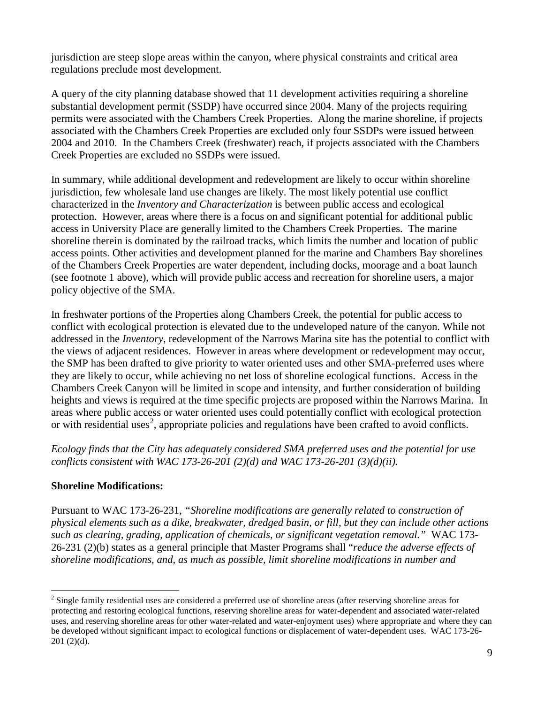jurisdiction are steep slope areas within the canyon, where physical constraints and critical area regulations preclude most development.

A query of the city planning database showed that 11 development activities requiring a shoreline substantial development permit (SSDP) have occurred since 2004. Many of the projects requiring permits were associated with the Chambers Creek Properties. Along the marine shoreline, if projects associated with the Chambers Creek Properties are excluded only four SSDPs were issued between 2004 and 2010. In the Chambers Creek (freshwater) reach, if projects associated with the Chambers Creek Properties are excluded no SSDPs were issued.

In summary, while additional development and redevelopment are likely to occur within shoreline jurisdiction, few wholesale land use changes are likely. The most likely potential use conflict characterized in the *Inventory and Characterization* is between public access and ecological protection. However, areas where there is a focus on and significant potential for additional public access in University Place are generally limited to the Chambers Creek Properties. The marine shoreline therein is dominated by the railroad tracks, which limits the number and location of public access points. Other activities and development planned for the marine and Chambers Bay shorelines of the Chambers Creek Properties are water dependent, including docks, moorage and a boat launch (see footnote 1 above), which will provide public access and recreation for shoreline users, a major policy objective of the SMA.

In freshwater portions of the Properties along Chambers Creek, the potential for public access to conflict with ecological protection is elevated due to the undeveloped nature of the canyon. While not addressed in the *Inventory*, redevelopment of the Narrows Marina site has the potential to conflict with the views of adjacent residences. However in areas where development or redevelopment may occur, the SMP has been drafted to give priority to water oriented uses and other SMA-preferred uses where they are likely to occur, while achieving no net loss of shoreline ecological functions. Access in the Chambers Creek Canyon will be limited in scope and intensity, and further consideration of building heights and views is required at the time specific projects are proposed within the Narrows Marina. In areas where public access or water oriented uses could potentially conflict with ecological protection or with residential uses<sup>[2](#page-8-0)</sup>, appropriate policies and regulations have been crafted to avoid conflicts.

*Ecology finds that the City has adequately considered SMA preferred uses and the potential for use conflicts consistent with WAC 173-26-201 (2)(d) and WAC 173-26-201 (3)(d)(ii).*

#### **Shoreline Modifications:**

Pursuant to WAC 173-26-231, *"Shoreline modifications are generally related to construction of physical elements such as a dike, breakwater, dredged basin, or fill, but they can include other actions such as clearing, grading, application of chemicals, or significant vegetation removal."* WAC 173- 26-231 (2)(b) states as a general principle that Master Programs shall "*reduce the adverse effects of shoreline modifications, and, as much as possible, limit shoreline modifications in number and* 

<span id="page-8-0"></span><sup>&</sup>lt;sup>2</sup> Single family residential uses are considered a preferred use of shoreline areas (after reserving shoreline areas for protecting and restoring ecological functions, reserving shoreline areas for water-dependent and associated water-related uses, and reserving shoreline areas for other water-related and water-enjoyment uses) where appropriate and where they can be developed without significant impact to ecological functions or displacement of water-dependent uses. WAC 173-26- 201 (2)(d).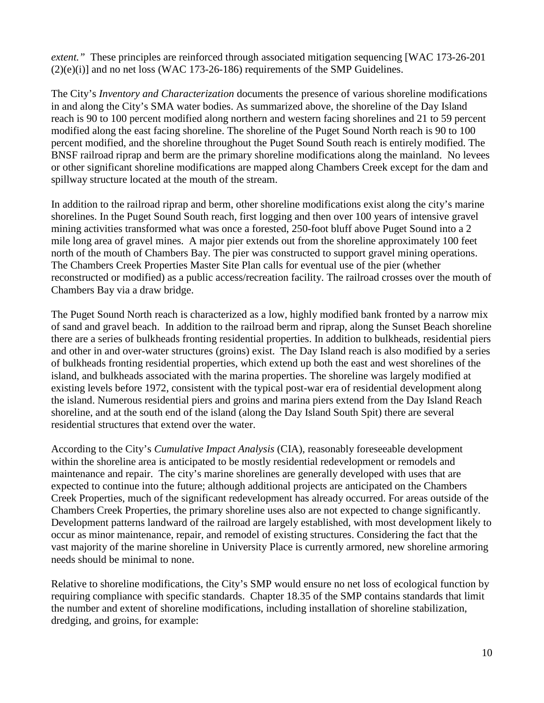*extent."* These principles are reinforced through associated mitigation sequencing [WAC 173-26-201  $(2)(e)(i)$ ] and no net loss (WAC 173-26-186) requirements of the SMP Guidelines.

The City's *Inventory and Characterization* documents the presence of various shoreline modifications in and along the City's SMA water bodies. As summarized above, the shoreline of the Day Island reach is 90 to 100 percent modified along northern and western facing shorelines and 21 to 59 percent modified along the east facing shoreline. The shoreline of the Puget Sound North reach is 90 to 100 percent modified, and the shoreline throughout the Puget Sound South reach is entirely modified. The BNSF railroad riprap and berm are the primary shoreline modifications along the mainland. No levees or other significant shoreline modifications are mapped along Chambers Creek except for the dam and spillway structure located at the mouth of the stream.

In addition to the railroad riprap and berm, other shoreline modifications exist along the city's marine shorelines. In the Puget Sound South reach, first logging and then over 100 years of intensive gravel mining activities transformed what was once a forested, 250-foot bluff above Puget Sound into a 2 mile long area of gravel mines. A major pier extends out from the shoreline approximately 100 feet north of the mouth of Chambers Bay. The pier was constructed to support gravel mining operations. The Chambers Creek Properties Master Site Plan calls for eventual use of the pier (whether reconstructed or modified) as a public access/recreation facility. The railroad crosses over the mouth of Chambers Bay via a draw bridge.

The Puget Sound North reach is characterized as a low, highly modified bank fronted by a narrow mix of sand and gravel beach. In addition to the railroad berm and riprap, along the Sunset Beach shoreline there are a series of bulkheads fronting residential properties. In addition to bulkheads, residential piers and other in and over-water structures (groins) exist. The Day Island reach is also modified by a series of bulkheads fronting residential properties, which extend up both the east and west shorelines of the island, and bulkheads associated with the marina properties. The shoreline was largely modified at existing levels before 1972, consistent with the typical post-war era of residential development along the island. Numerous residential piers and groins and marina piers extend from the Day Island Reach shoreline, and at the south end of the island (along the Day Island South Spit) there are several residential structures that extend over the water.

According to the City's *Cumulative Impact Analysis* (CIA), reasonably foreseeable development within the shoreline area is anticipated to be mostly residential redevelopment or remodels and maintenance and repair. The city's marine shorelines are generally developed with uses that are expected to continue into the future; although additional projects are anticipated on the Chambers Creek Properties, much of the significant redevelopment has already occurred. For areas outside of the Chambers Creek Properties, the primary shoreline uses also are not expected to change significantly. Development patterns landward of the railroad are largely established, with most development likely to occur as minor maintenance, repair, and remodel of existing structures. Considering the fact that the vast majority of the marine shoreline in University Place is currently armored, new shoreline armoring needs should be minimal to none.

Relative to shoreline modifications, the City's SMP would ensure no net loss of ecological function by requiring compliance with specific standards. Chapter 18.35 of the SMP contains standards that limit the number and extent of shoreline modifications, including installation of shoreline stabilization, dredging, and groins, for example: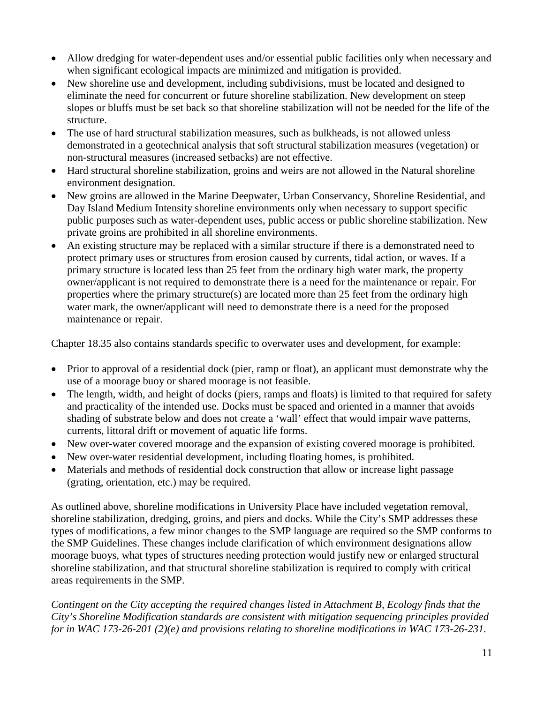- Allow dredging for water-dependent uses and/or essential public facilities only when necessary and when significant ecological impacts are minimized and mitigation is provided.
- New shoreline use and development, including subdivisions, must be located and designed to eliminate the need for concurrent or future shoreline stabilization. New development on steep slopes or bluffs must be set back so that shoreline stabilization will not be needed for the life of the structure.
- The use of hard structural stabilization measures, such as bulkheads, is not allowed unless demonstrated in a geotechnical analysis that soft structural stabilization measures (vegetation) or non-structural measures (increased setbacks) are not effective.
- Hard structural shoreline stabilization, groins and weirs are not allowed in the Natural shoreline environment designation.
- New groins are allowed in the Marine Deepwater, Urban Conservancy, Shoreline Residential, and Day Island Medium Intensity shoreline environments only when necessary to support specific public purposes such as water-dependent uses, public access or public shoreline stabilization. New private groins are prohibited in all shoreline environments.
- An existing structure may be replaced with a similar structure if there is a demonstrated need to protect primary uses or structures from erosion caused by currents, tidal action, or waves. If a primary structure is located less than 25 feet from the ordinary high water mark, the property owner/applicant is not required to demonstrate there is a need for the maintenance or repair. For properties where the primary structure(s) are located more than 25 feet from the ordinary high water mark, the owner/applicant will need to demonstrate there is a need for the proposed maintenance or repair.

Chapter 18.35 also contains standards specific to overwater uses and development, for example:

- Prior to approval of a residential dock (pier, ramp or float), an applicant must demonstrate why the use of a moorage buoy or shared moorage is not feasible.
- The length, width, and height of docks (piers, ramps and floats) is limited to that required for safety and practicality of the intended use. Docks must be spaced and oriented in a manner that avoids shading of substrate below and does not create a 'wall' effect that would impair wave patterns, currents, littoral drift or movement of aquatic life forms.
- New over-water covered moorage and the expansion of existing covered moorage is prohibited.
- New over-water residential development, including floating homes, is prohibited.
- Materials and methods of residential dock construction that allow or increase light passage (grating, orientation, etc.) may be required.

As outlined above, shoreline modifications in University Place have included vegetation removal, shoreline stabilization, dredging, groins, and piers and docks. While the City's SMP addresses these types of modifications, a few minor changes to the SMP language are required so the SMP conforms to the SMP Guidelines. These changes include clarification of which environment designations allow moorage buoys, what types of structures needing protection would justify new or enlarged structural shoreline stabilization, and that structural shoreline stabilization is required to comply with critical areas requirements in the SMP.

*Contingent on the City accepting the required changes listed in Attachment B, Ecology finds that the City's Shoreline Modification standards are consistent with mitigation sequencing principles provided for in WAC 173-26-201 (2)(e) and provisions relating to shoreline modifications in WAC 173-26-231.*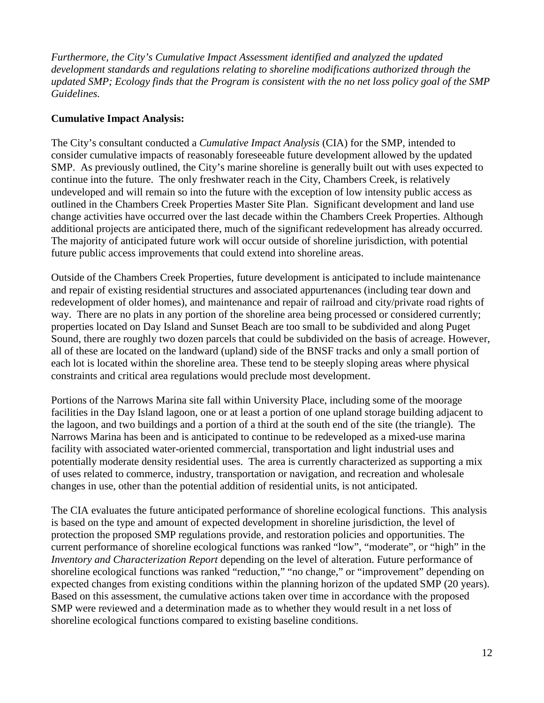*Furthermore, the City's Cumulative Impact Assessment identified and analyzed the updated development standards and regulations relating to shoreline modifications authorized through the updated SMP; Ecology finds that the Program is consistent with the no net loss policy goal of the SMP Guidelines.*

#### **Cumulative Impact Analysis:**

The City's consultant conducted a *Cumulative Impact Analysis* (CIA) for the SMP, intended to consider cumulative impacts of reasonably foreseeable future development allowed by the updated SMP. As previously outlined, the City's marine shoreline is generally built out with uses expected to continue into the future. The only freshwater reach in the City, Chambers Creek, is relatively undeveloped and will remain so into the future with the exception of low intensity public access as outlined in the Chambers Creek Properties Master Site Plan. Significant development and land use change activities have occurred over the last decade within the Chambers Creek Properties. Although additional projects are anticipated there, much of the significant redevelopment has already occurred. The majority of anticipated future work will occur outside of shoreline jurisdiction, with potential future public access improvements that could extend into shoreline areas.

Outside of the Chambers Creek Properties, future development is anticipated to include maintenance and repair of existing residential structures and associated appurtenances (including tear down and redevelopment of older homes), and maintenance and repair of railroad and city/private road rights of way. There are no plats in any portion of the shoreline area being processed or considered currently; properties located on Day Island and Sunset Beach are too small to be subdivided and along Puget Sound, there are roughly two dozen parcels that could be subdivided on the basis of acreage. However, all of these are located on the landward (upland) side of the BNSF tracks and only a small portion of each lot is located within the shoreline area. These tend to be steeply sloping areas where physical constraints and critical area regulations would preclude most development.

Portions of the Narrows Marina site fall within University Place, including some of the moorage facilities in the Day Island lagoon, one or at least a portion of one upland storage building adjacent to the lagoon, and two buildings and a portion of a third at the south end of the site (the triangle). The Narrows Marina has been and is anticipated to continue to be redeveloped as a mixed-use marina facility with associated water-oriented commercial, transportation and light industrial uses and potentially moderate density residential uses. The area is currently characterized as supporting a mix of uses related to commerce, industry, transportation or navigation, and recreation and wholesale changes in use, other than the potential addition of residential units, is not anticipated.

The CIA evaluates the future anticipated performance of shoreline ecological functions. This analysis is based on the type and amount of expected development in shoreline jurisdiction, the level of protection the proposed SMP regulations provide, and restoration policies and opportunities. The current performance of shoreline ecological functions was ranked "low", "moderate", or "high" in the *Inventory and Characterization Report* depending on the level of alteration. Future performance of shoreline ecological functions was ranked "reduction," "no change," or "improvement" depending on expected changes from existing conditions within the planning horizon of the updated SMP (20 years). Based on this assessment, the cumulative actions taken over time in accordance with the proposed SMP were reviewed and a determination made as to whether they would result in a net loss of shoreline ecological functions compared to existing baseline conditions.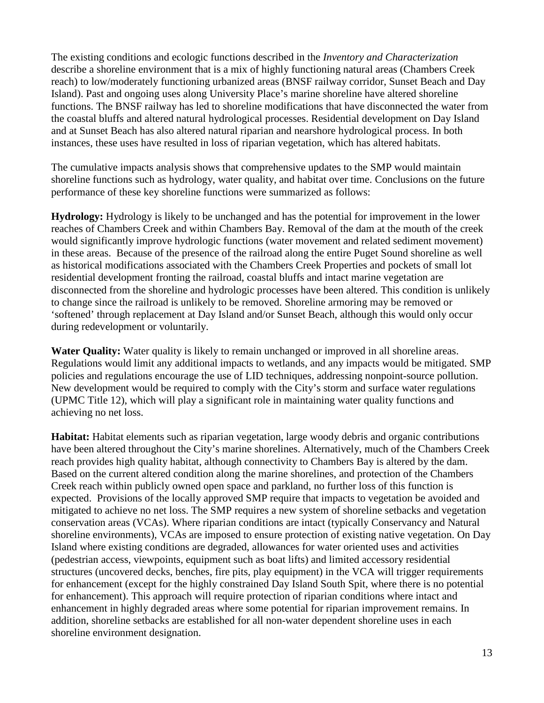The existing conditions and ecologic functions described in the *Inventory and Characterization*  describe a shoreline environment that is a mix of highly functioning natural areas (Chambers Creek reach) to low/moderately functioning urbanized areas (BNSF railway corridor, Sunset Beach and Day Island). Past and ongoing uses along University Place's marine shoreline have altered shoreline functions. The BNSF railway has led to shoreline modifications that have disconnected the water from the coastal bluffs and altered natural hydrological processes. Residential development on Day Island and at Sunset Beach has also altered natural riparian and nearshore hydrological process. In both instances, these uses have resulted in loss of riparian vegetation, which has altered habitats.

The cumulative impacts analysis shows that comprehensive updates to the SMP would maintain shoreline functions such as hydrology, water quality, and habitat over time. Conclusions on the future performance of these key shoreline functions were summarized as follows:

**Hydrology:** Hydrology is likely to be unchanged and has the potential for improvement in the lower reaches of Chambers Creek and within Chambers Bay. Removal of the dam at the mouth of the creek would significantly improve hydrologic functions (water movement and related sediment movement) in these areas. Because of the presence of the railroad along the entire Puget Sound shoreline as well as historical modifications associated with the Chambers Creek Properties and pockets of small lot residential development fronting the railroad, coastal bluffs and intact marine vegetation are disconnected from the shoreline and hydrologic processes have been altered. This condition is unlikely to change since the railroad is unlikely to be removed. Shoreline armoring may be removed or 'softened' through replacement at Day Island and/or Sunset Beach, although this would only occur during redevelopment or voluntarily.

**Water Quality:** Water quality is likely to remain unchanged or improved in all shoreline areas. Regulations would limit any additional impacts to wetlands, and any impacts would be mitigated. SMP policies and regulations encourage the use of LID techniques, addressing nonpoint-source pollution. New development would be required to comply with the City's storm and surface water regulations (UPMC Title 12), which will play a significant role in maintaining water quality functions and achieving no net loss.

**Habitat:** Habitat elements such as riparian vegetation, large woody debris and organic contributions have been altered throughout the City's marine shorelines. Alternatively, much of the Chambers Creek reach provides high quality habitat, although connectivity to Chambers Bay is altered by the dam. Based on the current altered condition along the marine shorelines, and protection of the Chambers Creek reach within publicly owned open space and parkland, no further loss of this function is expected. Provisions of the locally approved SMP require that impacts to vegetation be avoided and mitigated to achieve no net loss. The SMP requires a new system of shoreline setbacks and vegetation conservation areas (VCAs). Where riparian conditions are intact (typically Conservancy and Natural shoreline environments), VCAs are imposed to ensure protection of existing native vegetation. On Day Island where existing conditions are degraded, allowances for water oriented uses and activities (pedestrian access, viewpoints, equipment such as boat lifts) and limited accessory residential structures (uncovered decks, benches, fire pits, play equipment) in the VCA will trigger requirements for enhancement (except for the highly constrained Day Island South Spit, where there is no potential for enhancement). This approach will require protection of riparian conditions where intact and enhancement in highly degraded areas where some potential for riparian improvement remains. In addition, shoreline setbacks are established for all non-water dependent shoreline uses in each shoreline environment designation.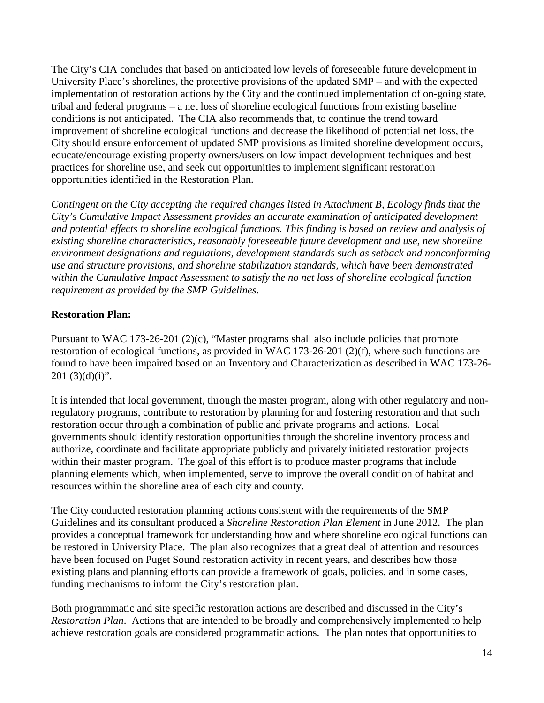The City's CIA concludes that based on anticipated low levels of foreseeable future development in University Place's shorelines, the protective provisions of the updated SMP – and with the expected implementation of restoration actions by the City and the continued implementation of on-going state, tribal and federal programs – a net loss of shoreline ecological functions from existing baseline conditions is not anticipated. The CIA also recommends that, to continue the trend toward improvement of shoreline ecological functions and decrease the likelihood of potential net loss, the City should ensure enforcement of updated SMP provisions as limited shoreline development occurs, educate/encourage existing property owners/users on low impact development techniques and best practices for shoreline use, and seek out opportunities to implement significant restoration opportunities identified in the Restoration Plan.

*Contingent on the City accepting the required changes listed in Attachment B, Ecology finds that the City's Cumulative Impact Assessment provides an accurate examination of anticipated development and potential effects to shoreline ecological functions. This finding is based on review and analysis of existing shoreline characteristics, reasonably foreseeable future development and use, new shoreline environment designations and regulations, development standards such as setback and nonconforming use and structure provisions, and shoreline stabilization standards, which have been demonstrated within the Cumulative Impact Assessment to satisfy the no net loss of shoreline ecological function requirement as provided by the SMP Guidelines.*

# **Restoration Plan:**

Pursuant to WAC 173-26-201 (2)(c), "Master programs shall also include policies that promote restoration of ecological functions, as provided in WAC 173-26-201 (2)(f), where such functions are found to have been impaired based on an Inventory and Characterization as described in WAC 173-26- 201 $(3)(d)(i)$ ".

It is intended that local government, through the master program, along with other regulatory and nonregulatory programs, contribute to restoration by planning for and fostering restoration and that such restoration occur through a combination of public and private programs and actions. Local governments should identify restoration opportunities through the shoreline inventory process and authorize, coordinate and facilitate appropriate publicly and privately initiated restoration projects within their master program. The goal of this effort is to produce master programs that include planning elements which, when implemented, serve to improve the overall condition of habitat and resources within the shoreline area of each city and county.

The City conducted restoration planning actions consistent with the requirements of the SMP Guidelines and its consultant produced a *Shoreline Restoration Plan Element* in June 2012. The plan provides a conceptual framework for understanding how and where shoreline ecological functions can be restored in University Place. The plan also recognizes that a great deal of attention and resources have been focused on Puget Sound restoration activity in recent years, and describes how those existing plans and planning efforts can provide a framework of goals, policies, and in some cases, funding mechanisms to inform the City's restoration plan.

Both programmatic and site specific restoration actions are described and discussed in the City's *Restoration Plan*. Actions that are intended to be broadly and comprehensively implemented to help achieve restoration goals are considered programmatic actions. The plan notes that opportunities to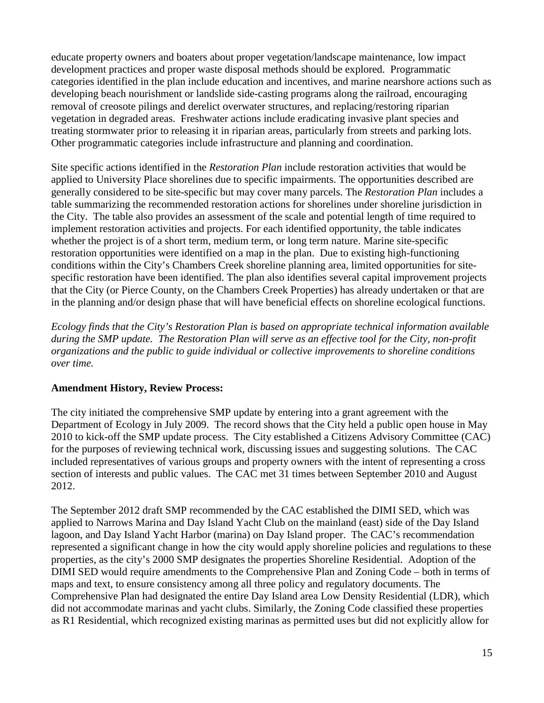educate property owners and boaters about proper vegetation/landscape maintenance, low impact development practices and proper waste disposal methods should be explored. Programmatic categories identified in the plan include education and incentives, and marine nearshore actions such as developing beach nourishment or landslide side-casting programs along the railroad, encouraging removal of creosote pilings and derelict overwater structures, and replacing/restoring riparian vegetation in degraded areas. Freshwater actions include eradicating invasive plant species and treating stormwater prior to releasing it in riparian areas, particularly from streets and parking lots. Other programmatic categories include infrastructure and planning and coordination.

Site specific actions identified in the *Restoration Plan* include restoration activities that would be applied to University Place shorelines due to specific impairments. The opportunities described are generally considered to be site-specific but may cover many parcels. The *Restoration Plan* includes a table summarizing the recommended restoration actions for shorelines under shoreline jurisdiction in the City. The table also provides an assessment of the scale and potential length of time required to implement restoration activities and projects. For each identified opportunity, the table indicates whether the project is of a short term, medium term, or long term nature. Marine site-specific restoration opportunities were identified on a map in the plan. Due to existing high-functioning conditions within the City's Chambers Creek shoreline planning area, limited opportunities for sitespecific restoration have been identified. The plan also identifies several capital improvement projects that the City (or Pierce County, on the Chambers Creek Properties) has already undertaken or that are in the planning and/or design phase that will have beneficial effects on shoreline ecological functions.

*Ecology finds that the City's Restoration Plan is based on appropriate technical information available during the SMP update. The Restoration Plan will serve as an effective tool for the City, non-profit organizations and the public to guide individual or collective improvements to shoreline conditions over time.*

#### **Amendment History, Review Process:**

The city initiated the comprehensive SMP update by entering into a grant agreement with the Department of Ecology in July 2009. The record shows that the City held a public open house in May 2010 to kick-off the SMP update process. The City established a Citizens Advisory Committee (CAC) for the purposes of reviewing technical work, discussing issues and suggesting solutions. The CAC included representatives of various groups and property owners with the intent of representing a cross section of interests and public values. The CAC met 31 times between September 2010 and August 2012.

The September 2012 draft SMP recommended by the CAC established the DIMI SED, which was applied to Narrows Marina and Day Island Yacht Club on the mainland (east) side of the Day Island lagoon, and Day Island Yacht Harbor (marina) on Day Island proper. The CAC's recommendation represented a significant change in how the city would apply shoreline policies and regulations to these properties, as the city's 2000 SMP designates the properties Shoreline Residential. Adoption of the DIMI SED would require amendments to the Comprehensive Plan and Zoning Code – both in terms of maps and text, to ensure consistency among all three policy and regulatory documents. The Comprehensive Plan had designated the entire Day Island area Low Density Residential (LDR), which did not accommodate marinas and yacht clubs. Similarly, the Zoning Code classified these properties as R1 Residential, which recognized existing marinas as permitted uses but did not explicitly allow for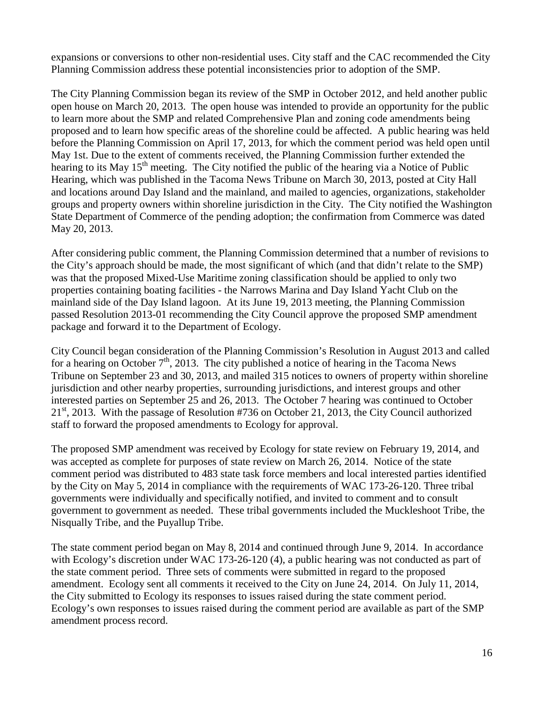expansions or conversions to other non-residential uses. City staff and the CAC recommended the City Planning Commission address these potential inconsistencies prior to adoption of the SMP.

The City Planning Commission began its review of the SMP in October 2012, and held another public open house on March 20, 2013. The open house was intended to provide an opportunity for the public to learn more about the SMP and related Comprehensive Plan and zoning code amendments being proposed and to learn how specific areas of the shoreline could be affected. A public hearing was held before the Planning Commission on April 17, 2013, for which the comment period was held open until May 1st. Due to the extent of comments received, the Planning Commission further extended the hearing to its May 15<sup>th</sup> meeting. The City notified the public of the hearing via a Notice of Public Hearing, which was published in the Tacoma News Tribune on March 30, 2013, posted at City Hall and locations around Day Island and the mainland, and mailed to agencies, organizations, stakeholder groups and property owners within shoreline jurisdiction in the City. The City notified the Washington State Department of Commerce of the pending adoption; the confirmation from Commerce was dated May 20, 2013.

After considering public comment, the Planning Commission determined that a number of revisions to the City's approach should be made, the most significant of which (and that didn't relate to the SMP) was that the proposed Mixed-Use Maritime zoning classification should be applied to only two properties containing boating facilities - the Narrows Marina and Day Island Yacht Club on the mainland side of the Day Island lagoon. At its June 19, 2013 meeting, the Planning Commission passed Resolution 2013-01 recommending the City Council approve the proposed SMP amendment package and forward it to the Department of Ecology.

City Council began consideration of the Planning Commission's Resolution in August 2013 and called for a hearing on October  $7<sup>th</sup>$ , 2013. The city published a notice of hearing in the Tacoma News Tribune on September 23 and 30, 2013, and mailed 315 notices to owners of property within shoreline jurisdiction and other nearby properties, surrounding jurisdictions, and interest groups and other interested parties on September 25 and 26, 2013. The October 7 hearing was continued to October 21<sup>st</sup>, 2013. With the passage of Resolution #736 on October 21, 2013, the City Council authorized staff to forward the proposed amendments to Ecology for approval.

The proposed SMP amendment was received by Ecology for state review on February 19, 2014, and was accepted as complete for purposes of state review on March 26, 2014.Notice of the state comment period was distributed to 483 state task force members and local interested parties identified by the City on May 5, 2014 in compliance with the requirements of WAC 173-26-120. Three tribal governments were individually and specifically notified, and invited to comment and to consult government to government as needed. These tribal governments included the Muckleshoot Tribe, the Nisqually Tribe, and the Puyallup Tribe.

The state comment period began on May 8, 2014 and continued through June 9, 2014. In accordance with Ecology's discretion under WAC 173-26-120 (4), a public hearing was not conducted as part of the state comment period. Three sets of comments were submitted in regard to the proposed amendment. Ecology sent all comments it received to the City on June 24, 2014. On July 11, 2014, the City submitted to Ecology its responses to issues raised during the state comment period. Ecology's own responses to issues raised during the comment period are available as part of the SMP amendment process record.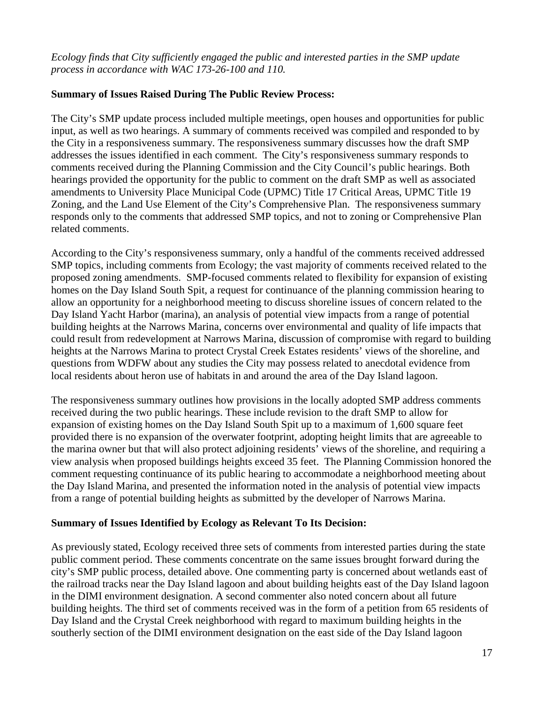# *Ecology finds that City sufficiently engaged the public and interested parties in the SMP update process in accordance with WAC 173-26-100 and 110.*

### **Summary of Issues Raised During The Public Review Process:**

The City's SMP update process included multiple meetings, open houses and opportunities for public input, as well as two hearings. A summary of comments received was compiled and responded to by the City in a responsiveness summary. The responsiveness summary discusses how the draft SMP addresses the issues identified in each comment. The City's responsiveness summary responds to comments received during the Planning Commission and the City Council's public hearings. Both hearings provided the opportunity for the public to comment on the draft SMP as well as associated amendments to University Place Municipal Code (UPMC) Title 17 Critical Areas, UPMC Title 19 Zoning, and the Land Use Element of the City's Comprehensive Plan. The responsiveness summary responds only to the comments that addressed SMP topics, and not to zoning or Comprehensive Plan related comments.

According to the City's responsiveness summary, only a handful of the comments received addressed SMP topics, including comments from Ecology; the vast majority of comments received related to the proposed zoning amendments. SMP-focused comments related to flexibility for expansion of existing homes on the Day Island South Spit, a request for continuance of the planning commission hearing to allow an opportunity for a neighborhood meeting to discuss shoreline issues of concern related to the Day Island Yacht Harbor (marina), an analysis of potential view impacts from a range of potential building heights at the Narrows Marina, concerns over environmental and quality of life impacts that could result from redevelopment at Narrows Marina, discussion of compromise with regard to building heights at the Narrows Marina to protect Crystal Creek Estates residents' views of the shoreline, and questions from WDFW about any studies the City may possess related to anecdotal evidence from local residents about heron use of habitats in and around the area of the Day Island lagoon.

The responsiveness summary outlines how provisions in the locally adopted SMP address comments received during the two public hearings. These include revision to the draft SMP to allow for expansion of existing homes on the Day Island South Spit up to a maximum of 1,600 square feet provided there is no expansion of the overwater footprint, adopting height limits that are agreeable to the marina owner but that will also protect adjoining residents' views of the shoreline, and requiring a view analysis when proposed buildings heights exceed 35 feet. The Planning Commission honored the comment requesting continuance of its public hearing to accommodate a neighborhood meeting about the Day Island Marina, and presented the information noted in the analysis of potential view impacts from a range of potential building heights as submitted by the developer of Narrows Marina.

#### **Summary of Issues Identified by Ecology as Relevant To Its Decision:**

As previously stated, Ecology received three sets of comments from interested parties during the state public comment period. These comments concentrate on the same issues brought forward during the city's SMP public process, detailed above. One commenting party is concerned about wetlands east of the railroad tracks near the Day Island lagoon and about building heights east of the Day Island lagoon in the DIMI environment designation. A second commenter also noted concern about all future building heights. The third set of comments received was in the form of a petition from 65 residents of Day Island and the Crystal Creek neighborhood with regard to maximum building heights in the southerly section of the DIMI environment designation on the east side of the Day Island lagoon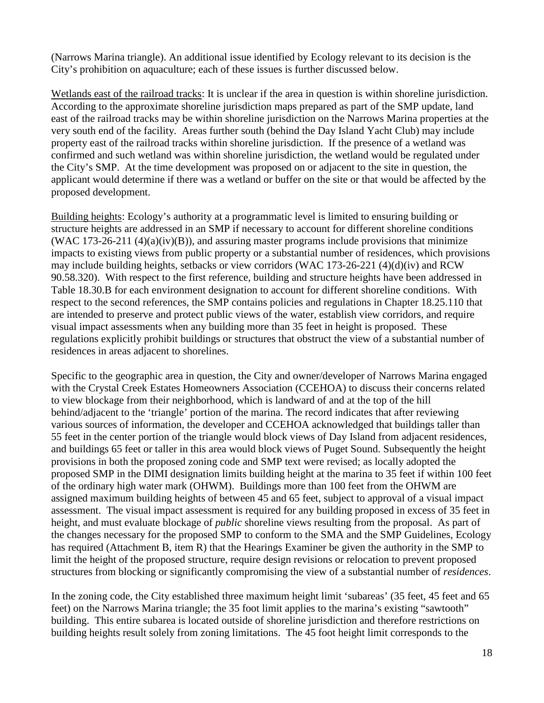(Narrows Marina triangle). An additional issue identified by Ecology relevant to its decision is the City's prohibition on aquaculture; each of these issues is further discussed below.

Wetlands east of the railroad tracks: It is unclear if the area in question is within shoreline jurisdiction. According to the approximate shoreline jurisdiction maps prepared as part of the SMP update, land east of the railroad tracks may be within shoreline jurisdiction on the Narrows Marina properties at the very south end of the facility. Areas further south (behind the Day Island Yacht Club) may include property east of the railroad tracks within shoreline jurisdiction. If the presence of a wetland was confirmed and such wetland was within shoreline jurisdiction, the wetland would be regulated under the City's SMP. At the time development was proposed on or adjacent to the site in question, the applicant would determine if there was a wetland or buffer on the site or that would be affected by the proposed development.

Building heights: Ecology's authority at a programmatic level is limited to ensuring building or structure heights are addressed in an SMP if necessary to account for different shoreline conditions (WAC 173-26-211  $(4)(a)(iv)(B)$ ), and assuring master programs include provisions that minimize impacts to existing views from public property or a substantial number of residences, which provisions may include building heights, setbacks or view corridors (WAC 173-26-221  $(4)(d)(iv)$  and RCW 90.58.320). With respect to the first reference, building and structure heights have been addressed in Table 18.30.B for each environment designation to account for different shoreline conditions. With respect to the second references, the SMP contains policies and regulations in Chapter 18.25.110 that are intended to preserve and protect public views of the water, establish view corridors, and require visual impact assessments when any building more than 35 feet in height is proposed. These regulations explicitly prohibit buildings or structures that obstruct the view of a substantial number of residences in areas adjacent to shorelines.

Specific to the geographic area in question, the City and owner/developer of Narrows Marina engaged with the Crystal Creek Estates Homeowners Association (CCEHOA) to discuss their concerns related to view blockage from their neighborhood, which is landward of and at the top of the hill behind/adjacent to the 'triangle' portion of the marina. The record indicates that after reviewing various sources of information, the developer and CCEHOA acknowledged that buildings taller than 55 feet in the center portion of the triangle would block views of Day Island from adjacent residences, and buildings 65 feet or taller in this area would block views of Puget Sound. Subsequently the height provisions in both the proposed zoning code and SMP text were revised; as locally adopted the proposed SMP in the DIMI designation limits building height at the marina to 35 feet if within 100 feet of the ordinary high water mark (OHWM). Buildings more than 100 feet from the OHWM are assigned maximum building heights of between 45 and 65 feet, subject to approval of a visual impact assessment. The visual impact assessment is required for any building proposed in excess of 35 feet in height, and must evaluate blockage of *public* shoreline views resulting from the proposal. As part of the changes necessary for the proposed SMP to conform to the SMA and the SMP Guidelines, Ecology has required (Attachment B, item R) that the Hearings Examiner be given the authority in the SMP to limit the height of the proposed structure, require design revisions or relocation to prevent proposed structures from blocking or significantly compromising the view of a substantial number of *residences*.

In the zoning code, the City established three maximum height limit 'subareas' (35 feet, 45 feet and 65 feet) on the Narrows Marina triangle; the 35 foot limit applies to the marina's existing "sawtooth" building. This entire subarea is located outside of shoreline jurisdiction and therefore restrictions on building heights result solely from zoning limitations. The 45 foot height limit corresponds to the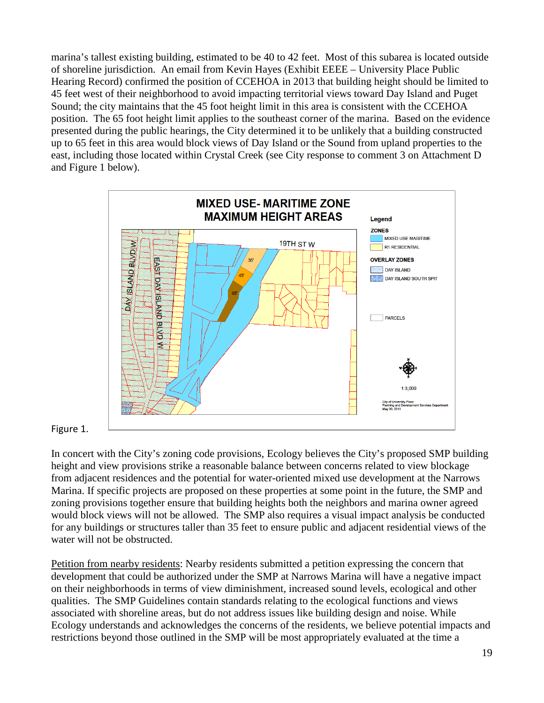marina's tallest existing building, estimated to be 40 to 42 feet. Most of this subarea is located outside of shoreline jurisdiction. An email from Kevin Hayes (Exhibit EEEE – University Place Public Hearing Record) confirmed the position of CCEHOA in 2013 that building height should be limited to 45 feet west of their neighborhood to avoid impacting territorial views toward Day Island and Puget Sound; the city maintains that the 45 foot height limit in this area is consistent with the CCEHOA position. The 65 foot height limit applies to the southeast corner of the marina. Based on the evidence presented during the public hearings, the City determined it to be unlikely that a building constructed up to 65 feet in this area would block views of Day Island or the Sound from upland properties to the east, including those located within Crystal Creek (see City response to comment 3 on Attachment D and Figure 1 below).



#### Figure 1.

In concert with the City's zoning code provisions, Ecology believes the City's proposed SMP building height and view provisions strike a reasonable balance between concerns related to view blockage from adjacent residences and the potential for water-oriented mixed use development at the Narrows Marina. If specific projects are proposed on these properties at some point in the future, the SMP and zoning provisions together ensure that building heights both the neighbors and marina owner agreed would block views will not be allowed. The SMP also requires a visual impact analysis be conducted for any buildings or structures taller than 35 feet to ensure public and adjacent residential views of the water will not be obstructed.

Petition from nearby residents: Nearby residents submitted a petition expressing the concern that development that could be authorized under the SMP at Narrows Marina will have a negative impact on their neighborhoods in terms of view diminishment, increased sound levels, ecological and other qualities. The SMP Guidelines contain standards relating to the ecological functions and views associated with shoreline areas, but do not address issues like building design and noise. While Ecology understands and acknowledges the concerns of the residents, we believe potential impacts and restrictions beyond those outlined in the SMP will be most appropriately evaluated at the time a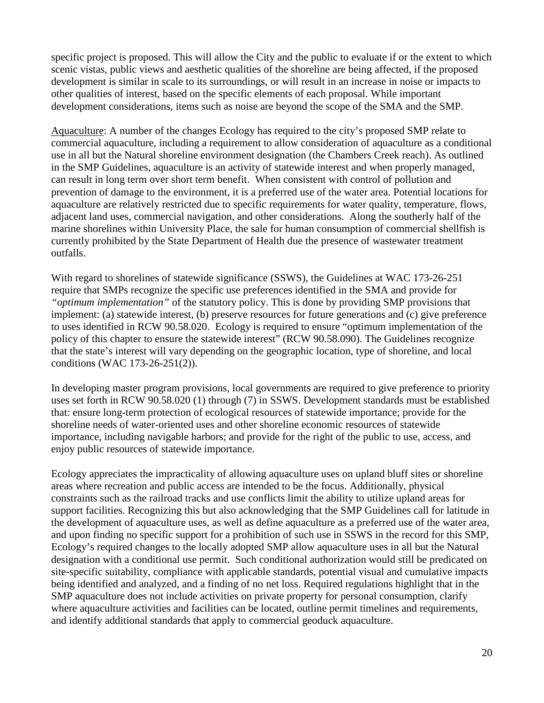specific project is proposed. This will allow the City and the public to evaluate if or the extent to which scenic vistas, public views and aesthetic qualities of the shoreline are being affected, if the proposed development is similar in scale to its surroundings, or will result in an increase in noise or impacts to other qualities of interest, based on the specific elements of each proposal. While important development considerations, items such as noise are beyond the scope of the SMA and the SMP.

Aquaculture: A number of the changes Ecology has required to the city's proposed SMP relate to commercial aquaculture, including a requirement to allow consideration of aquaculture as a conditional use in all but the Natural shoreline environment designation (the Chambers Creek reach). As outlined in the SMP Guidelines, aquaculture is an activity of statewide interest and when properly managed, can result in long term over short term benefit. When consistent with control of pollution and prevention of damage to the environment, it is a preferred use of the water area. Potential locations for aquaculture are relatively restricted due to specific requirements for water quality, temperature, flows, adjacent land uses, commercial navigation, and other considerations. Along the southerly half of the marine shorelines within University Place, the sale for human consumption of commercial shellfish is currently prohibited by the State Department of Health due the presence of wastewater treatment outfalls.

With regard to shorelines of statewide significance (SSWS), the Guidelines at WAC 173-26-251 require that SMPs recognize the specific use preferences identified in the SMA and provide for *"optimum implementation"* of the statutory policy. This is done by providing SMP provisions that implement: (a) statewide interest, (b) preserve resources for future generations and (c) give preference to uses identified in RCW 90.58.020. Ecology is required to ensure "optimum implementation of the policy of this chapter to ensure the statewide interest" (RCW 90.58.090). The Guidelines recognize that the state's interest will vary depending on the geographic location, type of shoreline, and local conditions (WAC 173-26-251(2)).

In developing master program provisions, local governments are required to give preference to priority uses set forth in RCW 90.58.020 (1) through (7) in SSWS. Development standards must be established that: ensure long-term protection of ecological resources of statewide importance; provide for the shoreline needs of water-oriented uses and other shoreline economic resources of statewide importance, including navigable harbors; and provide for the right of the public to use, access, and enjoy public resources of statewide importance.

Ecology appreciates the impracticality of allowing aquaculture uses on upland bluff sites or shoreline areas where recreation and public access are intended to be the focus. Additionally, physical constraints such as the railroad tracks and use conflicts limit the ability to utilize upland areas for support facilities. Recognizing this but also acknowledging that the SMP Guidelines call for latitude in the development of aquaculture uses, as well as define aquaculture as a preferred use of the water area, and upon finding no specific support for a prohibition of such use in SSWS in the record for this SMP, Ecology's required changes to the locally adopted SMP allow aquaculture uses in all but the Natural designation with a conditional use permit. Such conditional authorization would still be predicated on site-specific suitability, compliance with applicable standards, potential visual and cumulative impacts being identified and analyzed, and a finding of no net loss. Required regulations highlight that in the SMP aquaculture does not include activities on private property for personal consumption, clarify where aquaculture activities and facilities can be located, outline permit timelines and requirements, and identify additional standards that apply to commercial geoduck aquaculture.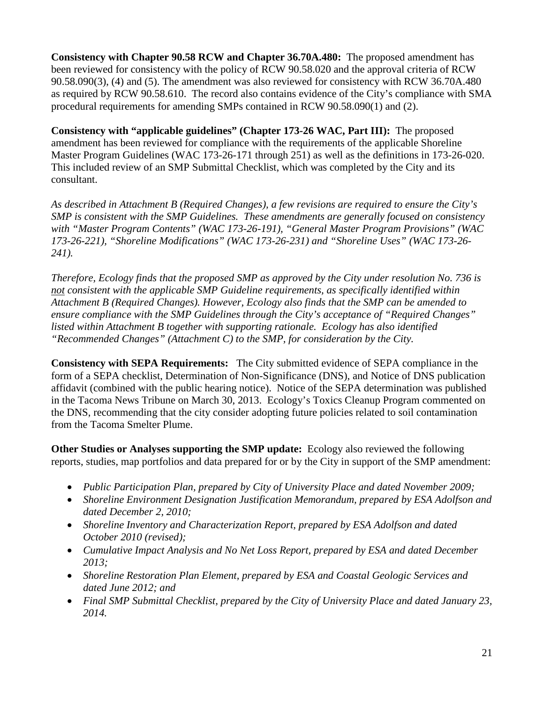**Consistency with Chapter 90.58 RCW and Chapter 36.70A.480:** The proposed amendment has been reviewed for consistency with the policy of RCW 90.58.020 and the approval criteria of RCW 90.58.090(3), (4) and (5). The amendment was also reviewed for consistency with RCW 36.70A.480 as required by RCW 90.58.610. The record also contains evidence of the City's compliance with SMA procedural requirements for amending SMPs contained in RCW 90.58.090(1) and (2).

**Consistency with "applicable guidelines" (Chapter 173-26 WAC, Part III):** The proposed amendment has been reviewed for compliance with the requirements of the applicable Shoreline Master Program Guidelines (WAC 173-26-171 through 251) as well as the definitions in 173-26-020. This included review of an SMP Submittal Checklist, which was completed by the City and its consultant.

*As described in Attachment B (Required Changes), a few revisions are required to ensure the City's SMP is consistent with the SMP Guidelines. These amendments are generally focused on consistency with "Master Program Contents" (WAC 173-26-191), "General Master Program Provisions" (WAC 173-26-221), "Shoreline Modifications" (WAC 173-26-231) and "Shoreline Uses" (WAC 173-26- 241).*

*Therefore, Ecology finds that the proposed SMP as approved by the City under resolution No. 736 is not consistent with the applicable SMP Guideline requirements, as specifically identified within Attachment B (Required Changes). However, Ecology also finds that the SMP can be amended to ensure compliance with the SMP Guidelines through the City's acceptance of "Required Changes" listed within Attachment B together with supporting rationale. Ecology has also identified "Recommended Changes" (Attachment C) to the SMP, for consideration by the City.*

**Consistency with SEPA Requirements:** The City submitted evidence of SEPA compliance in the form of a SEPA checklist, Determination of Non-Significance (DNS), and Notice of DNS publication affidavit (combined with the public hearing notice). Notice of the SEPA determination was published in the Tacoma News Tribune on March 30, 2013. Ecology's Toxics Cleanup Program commented on the DNS, recommending that the city consider adopting future policies related to soil contamination from the Tacoma Smelter Plume.

**Other Studies or Analyses supporting the SMP update:** Ecology also reviewed the following reports, studies, map portfolios and data prepared for or by the City in support of the SMP amendment:

- *Public Participation Plan, prepared by City of University Place and dated November 2009;*
- *Shoreline Environment Designation Justification Memorandum, prepared by ESA Adolfson and dated December 2, 2010;*
- *Shoreline Inventory and Characterization Report, prepared by ESA Adolfson and dated October 2010 (revised);*
- *Cumulative Impact Analysis and No Net Loss Report, prepared by ESA and dated December 2013;*
- *Shoreline Restoration Plan Element, prepared by ESA and Coastal Geologic Services and dated June 2012; and*
- *Final SMP Submittal Checklist, prepared by the City of University Place and dated January 23, 2014.*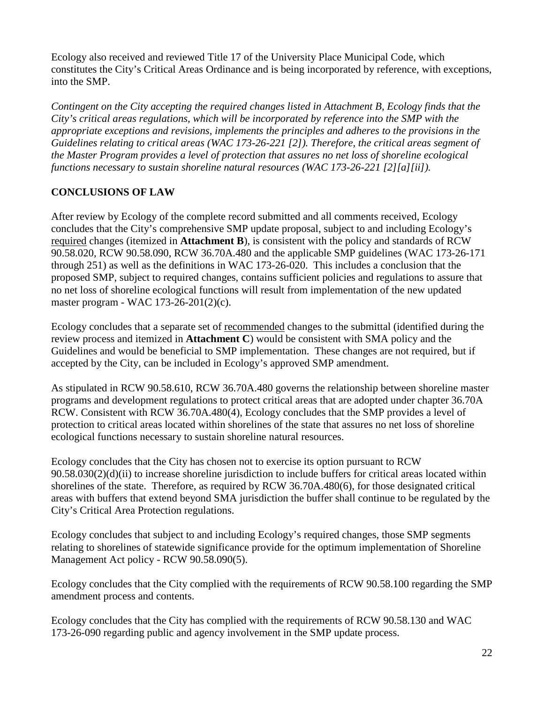Ecology also received and reviewed Title 17 of the University Place Municipal Code, which constitutes the City's Critical Areas Ordinance and is being incorporated by reference, with exceptions, into the SMP.

*Contingent on the City accepting the required changes listed in Attachment B, Ecology finds that the City's critical areas regulations, which will be incorporated by reference into the SMP with the appropriate exceptions and revisions, implements the principles and adheres to the provisions in the Guidelines relating to critical areas (WAC 173-26-221 [2]). Therefore, the critical areas segment of the Master Program provides a level of protection that assures no net loss of shoreline ecological functions necessary to sustain shoreline natural resources (WAC 173-26-221 [2][a][ii]).*

# **CONCLUSIONS OF LAW**

After review by Ecology of the complete record submitted and all comments received, Ecology concludes that the City's comprehensive SMP update proposal, subject to and including Ecology's required changes (itemized in **Attachment B**), is consistent with the policy and standards of RCW 90.58.020, RCW 90.58.090, RCW 36.70A.480 and the applicable SMP guidelines (WAC 173-26-171 through 251) as well as the definitions in WAC 173-26-020. This includes a conclusion that the proposed SMP, subject to required changes, contains sufficient policies and regulations to assure that no net loss of shoreline ecological functions will result from implementation of the new updated master program - WAC 173-26-201(2)(c).

Ecology concludes that a separate set of recommended changes to the submittal (identified during the review process and itemized in **Attachment C**) would be consistent with SMA policy and the Guidelines and would be beneficial to SMP implementation. These changes are not required, but if accepted by the City, can be included in Ecology's approved SMP amendment.

As stipulated in RCW 90.58.610, RCW 36.70A.480 governs the relationship between shoreline master programs and development regulations to protect critical areas that are adopted under chapter 36.70A RCW. Consistent with RCW 36.70A.480(4), Ecology concludes that the SMP provides a level of protection to critical areas located within shorelines of the state that assures no net loss of shoreline ecological functions necessary to sustain shoreline natural resources.

Ecology concludes that the City has chosen not to exercise its option pursuant to RCW 90.58.030(2)(d)(ii) to increase shoreline jurisdiction to include buffers for critical areas located within shorelines of the state. Therefore, as required by RCW 36.70A.480(6), for those designated critical areas with buffers that extend beyond SMA jurisdiction the buffer shall continue to be regulated by the City's Critical Area Protection regulations.

Ecology concludes that subject to and including Ecology's required changes, those SMP segments relating to shorelines of statewide significance provide for the optimum implementation of Shoreline Management Act policy - RCW 90.58.090(5).

Ecology concludes that the City complied with the requirements of RCW 90.58.100 regarding the SMP amendment process and contents.

Ecology concludes that the City has complied with the requirements of RCW 90.58.130 and WAC 173-26-090 regarding public and agency involvement in the SMP update process.